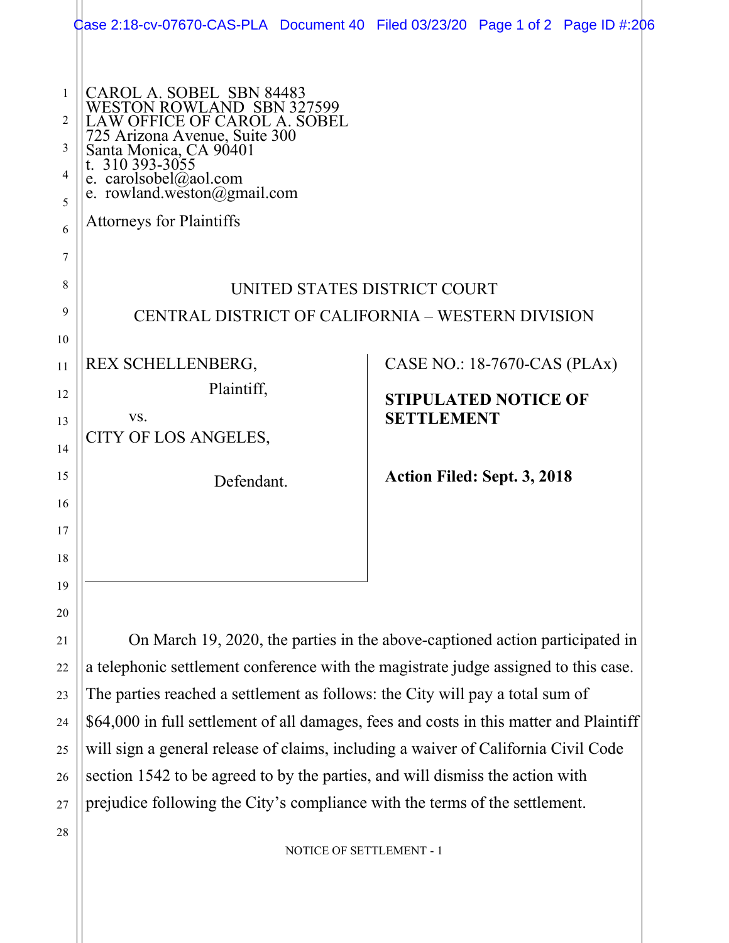|                                       | Jase 2:18-cv-07670-CAS-PLA Document 40 Filed 03/23/20 Page 1 of 2 Page ID #:206                                                                                                                                                                               |                                                  |  |  |
|---------------------------------------|---------------------------------------------------------------------------------------------------------------------------------------------------------------------------------------------------------------------------------------------------------------|--------------------------------------------------|--|--|
| $\mathbf{1}$<br>2<br>3<br>4<br>5<br>6 | CAROL A. SOBEL SBN 84483<br>WESTON ROWLAND SBN 327599<br>AW OFFICE OF CAROL A. SOBEL<br>725 Arizona Avenue, Suite 300<br>Santa Monica, CA 90401<br>t. 310 393-3055<br>e. carolsobel@aol.com<br>e. rowland.weston@gmail.com<br><b>Attorneys for Plaintiffs</b> |                                                  |  |  |
| 7                                     |                                                                                                                                                                                                                                                               |                                                  |  |  |
| 8                                     | UNITED STATES DISTRICT COURT                                                                                                                                                                                                                                  |                                                  |  |  |
| 9                                     | CENTRAL DISTRICT OF CALIFORNIA - WESTERN DIVISION                                                                                                                                                                                                             |                                                  |  |  |
| 10                                    |                                                                                                                                                                                                                                                               |                                                  |  |  |
| 11                                    | REX SCHELLENBERG,                                                                                                                                                                                                                                             | CASE NO.: 18-7670-CAS (PLAx)                     |  |  |
| 12                                    | Plaintiff,                                                                                                                                                                                                                                                    | <b>STIPULATED NOTICE OF</b><br><b>SETTLEMENT</b> |  |  |
| 13                                    | VS.                                                                                                                                                                                                                                                           |                                                  |  |  |
|                                       | CITY OF LOS ANGELES,                                                                                                                                                                                                                                          |                                                  |  |  |
| 14<br>15                              | Defendant.                                                                                                                                                                                                                                                    | Action Filed: Sept. 3, 2018                      |  |  |
| 16                                    |                                                                                                                                                                                                                                                               |                                                  |  |  |
| 17                                    |                                                                                                                                                                                                                                                               |                                                  |  |  |
| 18                                    |                                                                                                                                                                                                                                                               |                                                  |  |  |
| 19                                    |                                                                                                                                                                                                                                                               |                                                  |  |  |
| 20                                    |                                                                                                                                                                                                                                                               |                                                  |  |  |

On March 19, 2020, the parties in the above-captioned action participated in a telephonic settlement conference with the magistrate judge assigned to this case. The parties reached a settlement as follows: the City will pay a total sum of \$64,000 in full settlement of all damages, fees and costs in this matter and Plaintiff will sign a general release of claims, including a waiver of California Civil Code section 1542 to be agreed to by the parties, and will dismiss the action with prejudice following the City's compliance with the terms of the settlement.

NOTICE OF SETTLEMENT - 1

28

21

22

23

24

25

26

27